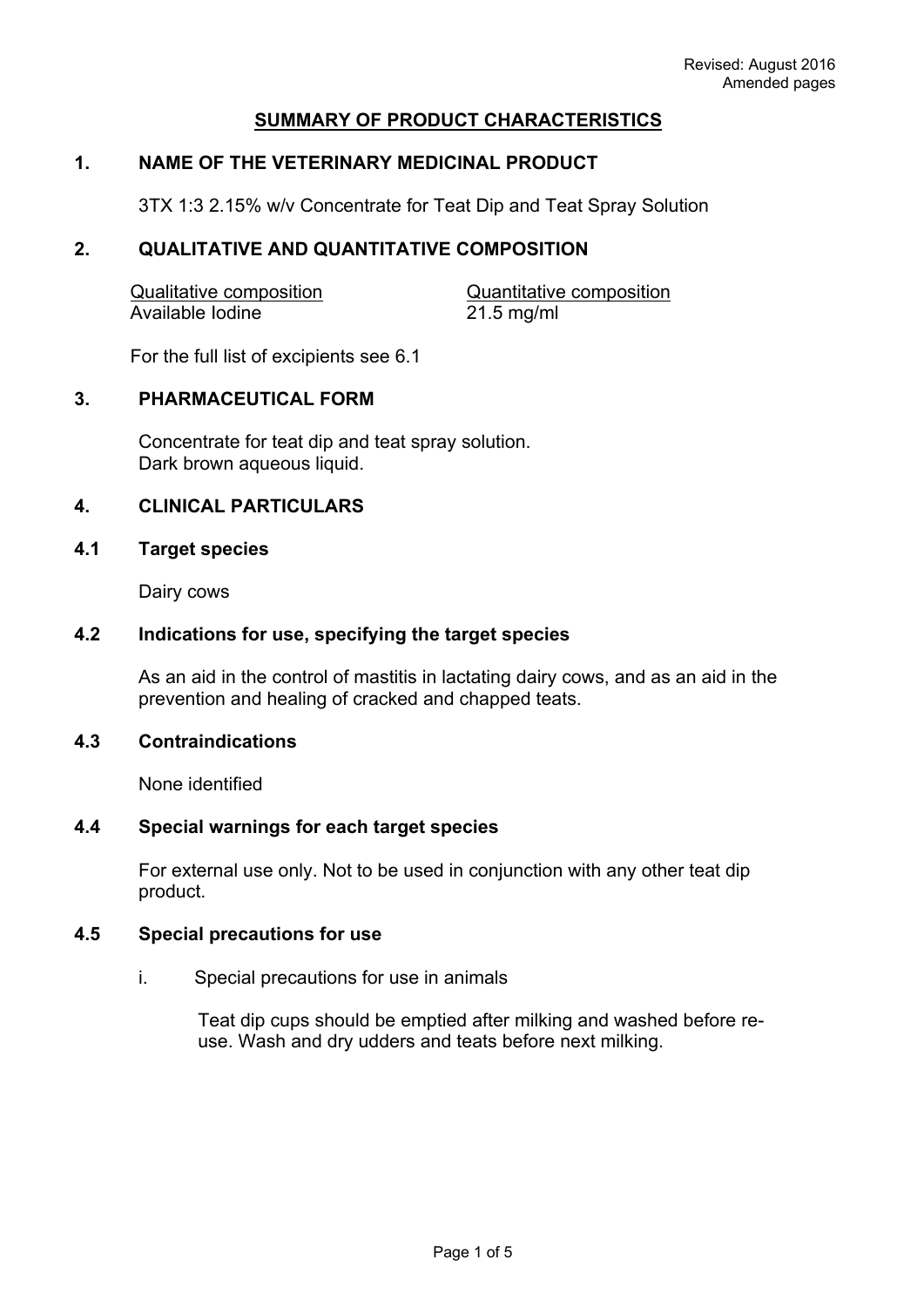# **SUMMARY OF PRODUCT CHARACTERISTICS**

# **1. NAME OF THE VETERINARY MEDICINAL PRODUCT**

3TX 1:3 2.15% w/v Concentrate for Teat Dip and Teat Spray Solution

## **2. QUALITATIVE AND QUANTITATIVE COMPOSITION**

| <b>Qualitative composition</b> | Quantitative composition |
|--------------------------------|--------------------------|
| Available Iodine               | $21.5$ mg/ml             |

For the full list of excipients see 6.1

#### **3. PHARMACEUTICAL FORM**

Concentrate for teat dip and teat spray solution. Dark brown aqueous liquid.

## **4. CLINICAL PARTICULARS**

#### **4.1 Target species**

Dairy cows

#### **4.2 Indications for use, specifying the target species**

As an aid in the control of mastitis in lactating dairy cows, and as an aid in the prevention and healing of cracked and chapped teats.

### **4.3 Contraindications**

None identified

# **4.4 Special warnings for each target species**

For external use only. Not to be used in conjunction with any other teat dip product.

#### **4.5 Special precautions for use**

i. Special precautions for use in animals

Teat dip cups should be emptied after milking and washed before reuse. Wash and dry udders and teats before next milking.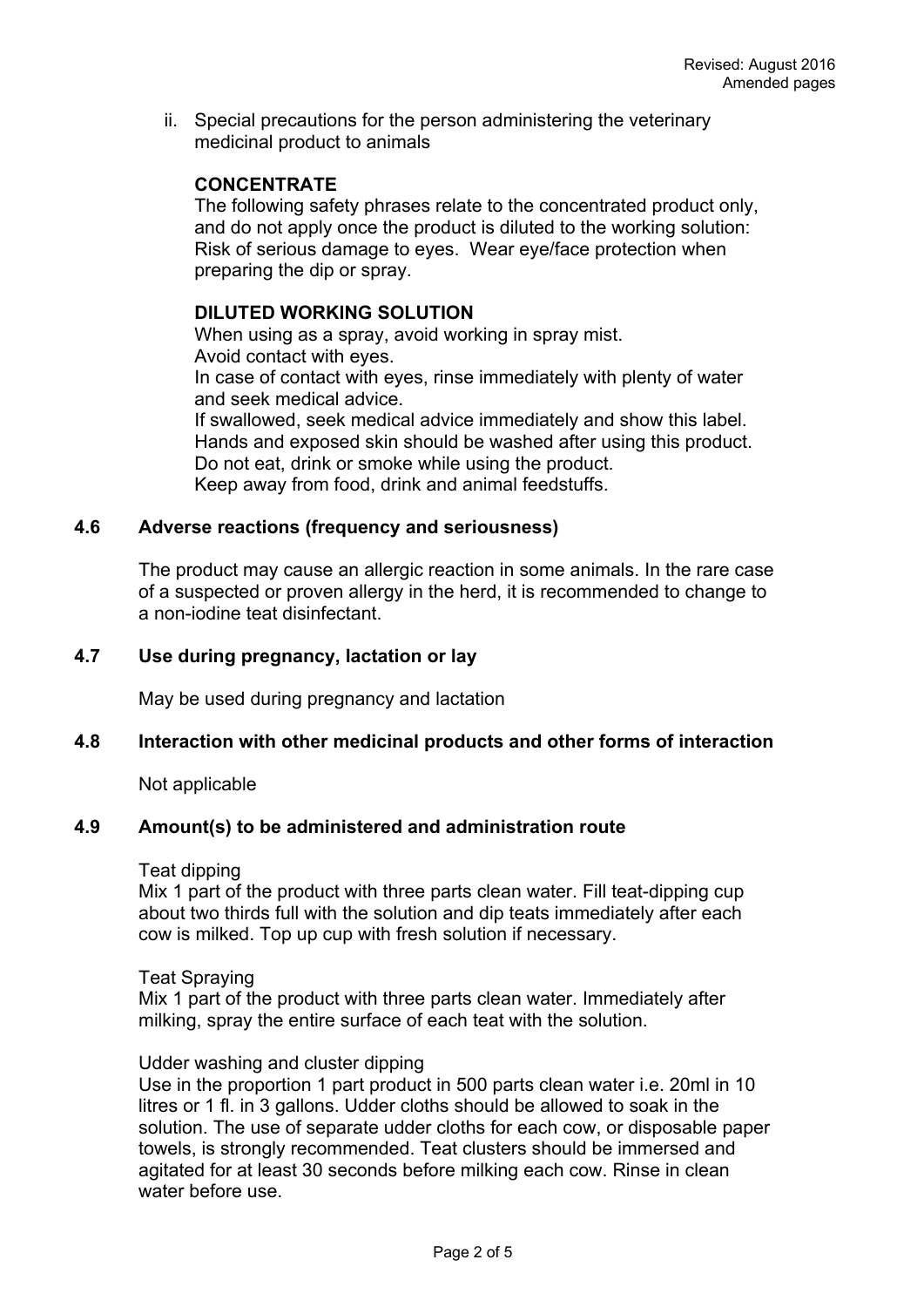ii. Special precautions for the person administering the veterinary medicinal product to animals

# **CONCENTRATE**

The following safety phrases relate to the concentrated product only, and do not apply once the product is diluted to the working solution: Risk of serious damage to eyes. Wear eye/face protection when preparing the dip or spray.

### **DILUTED WORKING SOLUTION**

When using as a spray, avoid working in spray mist. Avoid contact with eyes.

In case of contact with eyes, rinse immediately with plenty of water and seek medical advice.

If swallowed, seek medical advice immediately and show this label. Hands and exposed skin should be washed after using this product. Do not eat, drink or smoke while using the product. Keep away from food, drink and animal feedstuffs.

### **4.6 Adverse reactions (frequency and seriousness)**

The product may cause an allergic reaction in some animals. In the rare case of a suspected or proven allergy in the herd, it is recommended to change to a non-iodine teat disinfectant.

## **4.7 Use during pregnancy, lactation or lay**

May be used during pregnancy and lactation

#### **4.8 Interaction with other medicinal products and other forms of interaction**

Not applicable

## **4.9 Amount(s) to be administered and administration route**

#### Teat dipping

Mix 1 part of the product with three parts clean water. Fill teat-dipping cup about two thirds full with the solution and dip teats immediately after each cow is milked. Top up cup with fresh solution if necessary.

#### Teat Spraying

Mix 1 part of the product with three parts clean water. Immediately after milking, spray the entire surface of each teat with the solution.

#### Udder washing and cluster dipping

Use in the proportion 1 part product in 500 parts clean water i.e. 20ml in 10 litres or 1 fl. in 3 gallons. Udder cloths should be allowed to soak in the solution. The use of separate udder cloths for each cow, or disposable paper towels, is strongly recommended. Teat clusters should be immersed and agitated for at least 30 seconds before milking each cow. Rinse in clean water before use.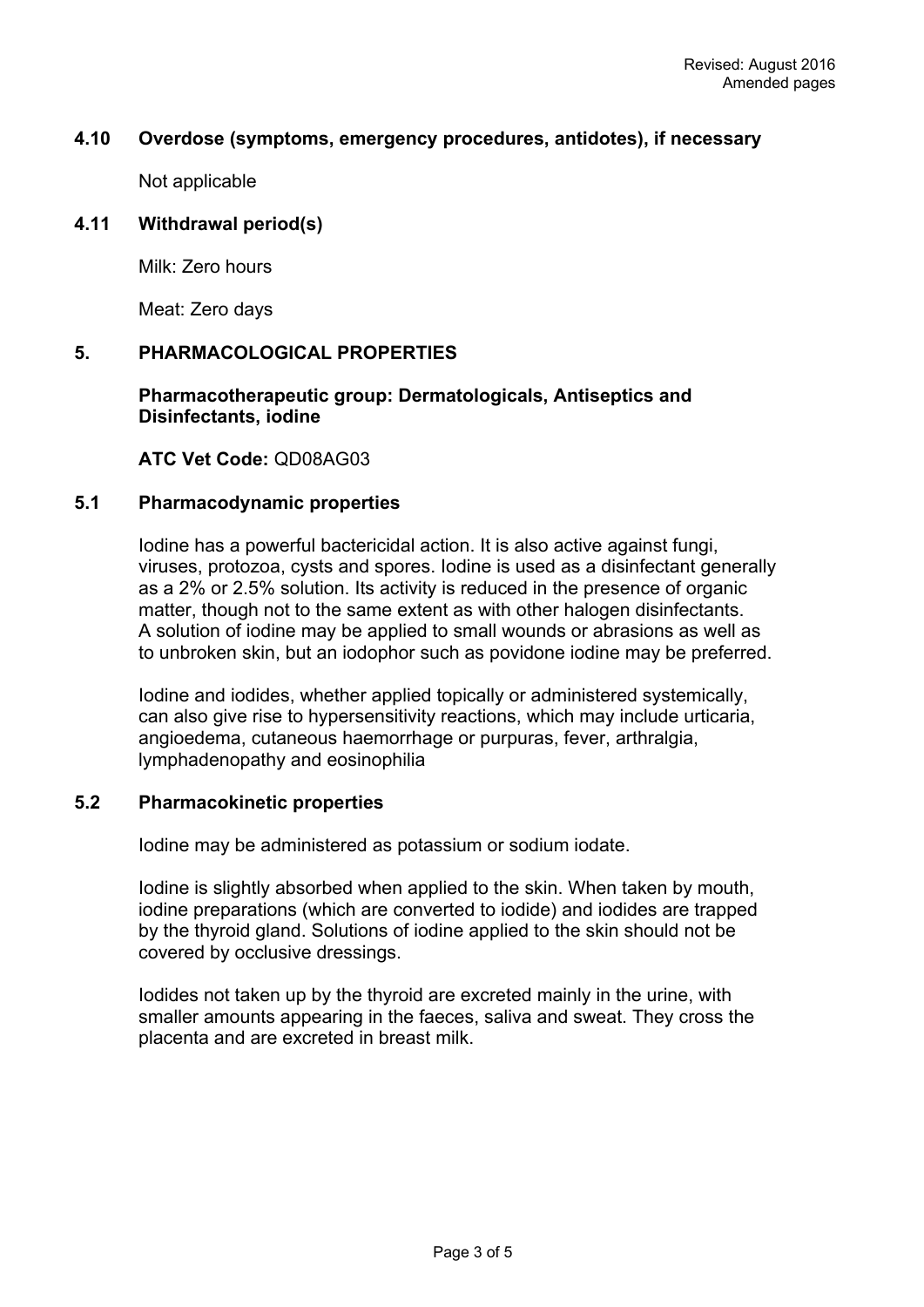### **4.10 Overdose (symptoms, emergency procedures, antidotes), if necessary**

Not applicable

### **4.11 Withdrawal period(s)**

Milk: Zero hours

Meat: Zero days

### **5. PHARMACOLOGICAL PROPERTIES**

## **Pharmacotherapeutic group: Dermatologicals, Antiseptics and Disinfectants, iodine**

**ATC Vet Code:** QD08AG03

## **5.1 Pharmacodynamic properties**

Iodine has a powerful bactericidal action. It is also active against fungi, viruses, protozoa, cysts and spores. Iodine is used as a disinfectant generally as a 2% or 2.5% solution. Its activity is reduced in the presence of organic matter, though not to the same extent as with other halogen disinfectants. A solution of iodine may be applied to small wounds or abrasions as well as to unbroken skin, but an iodophor such as povidone iodine may be preferred.

Iodine and iodides, whether applied topically or administered systemically, can also give rise to hypersensitivity reactions, which may include urticaria, angioedema, cutaneous haemorrhage or purpuras, fever, arthralgia, lymphadenopathy and eosinophilia

#### **5.2 Pharmacokinetic properties**

Iodine may be administered as potassium or sodium iodate.

Iodine is slightly absorbed when applied to the skin. When taken by mouth, iodine preparations (which are converted to iodide) and iodides are trapped by the thyroid gland. Solutions of iodine applied to the skin should not be covered by occlusive dressings.

Iodides not taken up by the thyroid are excreted mainly in the urine, with smaller amounts appearing in the faeces, saliva and sweat. They cross the placenta and are excreted in breast milk.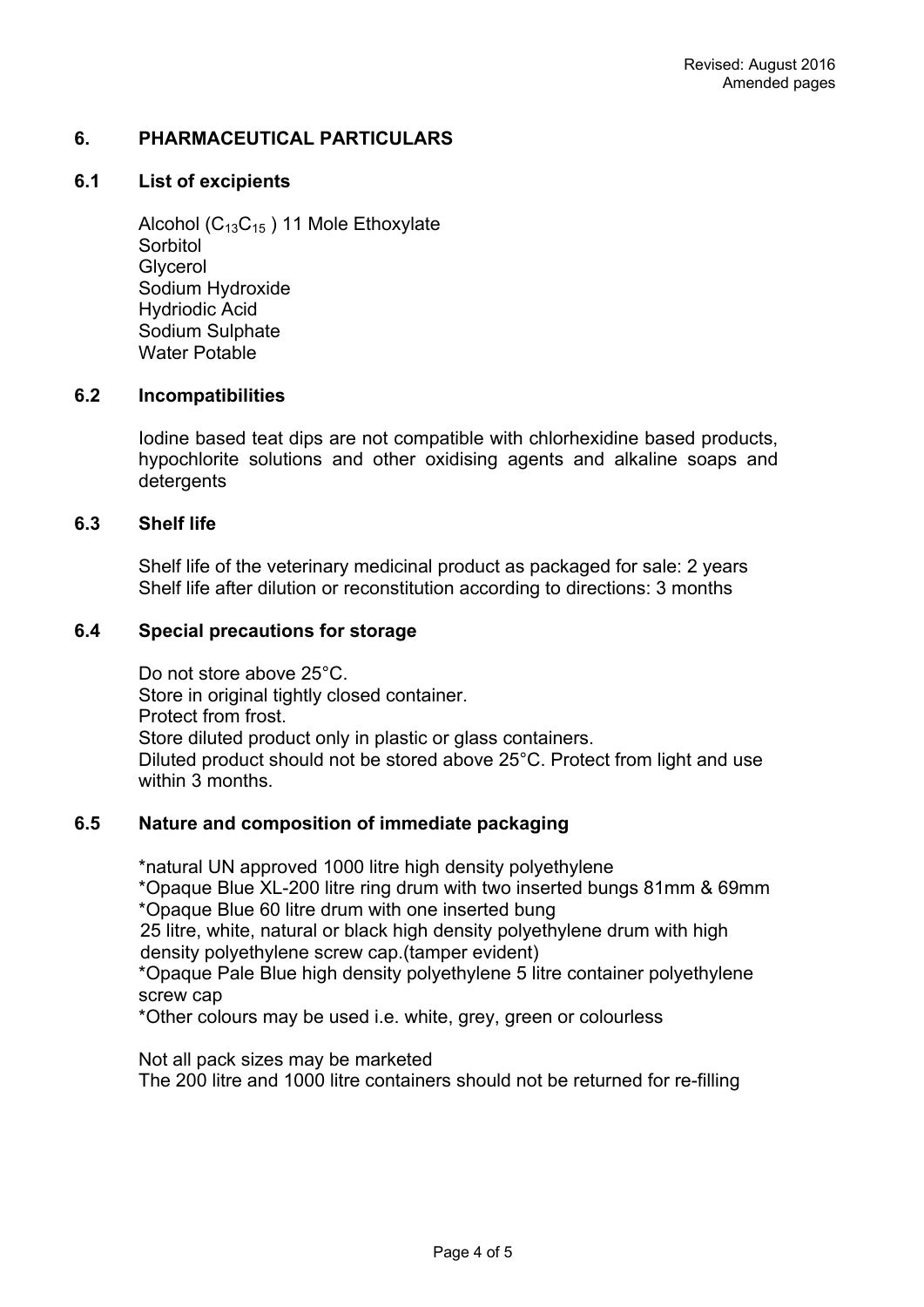## **6. PHARMACEUTICAL PARTICULARS**

### **6.1 List of excipients**

Alcohol ( $C_{13}C_{15}$ ) 11 Mole Ethoxylate **Sorbitol Glycerol** Sodium Hydroxide Hydriodic Acid Sodium Sulphate Water Potable

### **6.2 Incompatibilities**

Iodine based teat dips are not compatible with chlorhexidine based products, hypochlorite solutions and other oxidising agents and alkaline soaps and detergents

### **6.3 Shelf life**

Shelf life of the veterinary medicinal product as packaged for sale: 2 years Shelf life after dilution or reconstitution according to directions: 3 months

## **6.4 Special precautions for storage**

Do not store above 25°C. Store in original tightly closed container. Protect from frost. Store diluted product only in plastic or glass containers. Diluted product should not be stored above 25°C. Protect from light and use within 3 months.

## **6.5 Nature and composition of immediate packaging**

\*natural UN approved 1000 litre high density polyethylene \*Opaque Blue XL-200 litre ring drum with two inserted bungs 81mm & 69mm \*Opaque Blue 60 litre drum with one inserted bung 25 litre, white, natural or black high density polyethylene drum with high

density polyethylene screw cap.(tamper evident) \*Opaque Pale Blue high density polyethylene 5 litre container polyethylene screw cap

\*Other colours may be used i.e. white, grey, green or colourless

Not all pack sizes may be marketed The 200 litre and 1000 litre containers should not be returned for re-filling